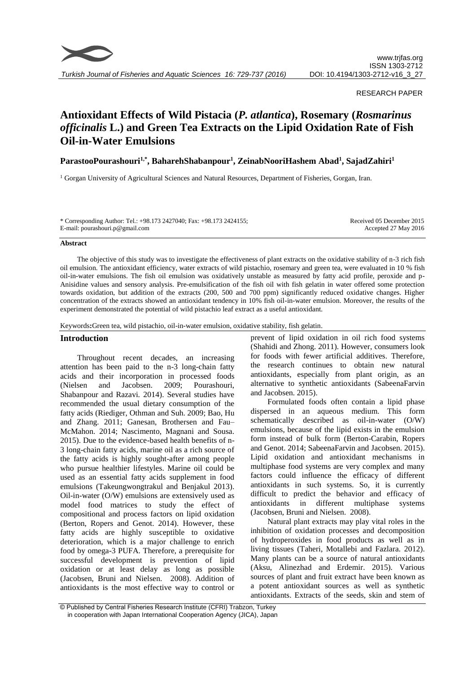

## RESEARCH PAPER

# **Antioxidant Effects of Wild Pistacia (***P. atlantica***), Rosemary (***Rosmarinus officinalis* **L.) and Green Tea Extracts on the Lipid Oxidation Rate of Fish Oil-in-Water Emulsions**

## **ParastooPourashouri1,\*, BaharehShabanpour<sup>1</sup> , ZeinabNooriHashem Abad<sup>1</sup> , SajadZahiri<sup>1</sup>**

<sup>1</sup> Gorgan University of Agricultural Sciences and Natural Resources, Department of Fisheries, Gorgan, Iran.

| * Corresponding Author: Tel.: +98.173 2427040; Fax: +98.173 2424155; | Received 05 December 2015 |
|----------------------------------------------------------------------|---------------------------|
| E-mail: pourashouri.p@gmail.com                                      | Accepted 27 May 2016      |

#### **Abstract**

The objective of this study was to investigate the effectiveness of plant extracts on the oxidative stability of n-3 rich fish oil emulsion. The antioxidant efficiency, water extracts of wild pistachio, rosemary and green tea, were evaluated in 10 % fish oil-in-water emulsions. The fish oil emulsion was oxidatively unstable as measured by fatty acid profile, peroxide and p-Anisidine values and sensory analysis. Pre-emulsification of the fish oil with fish gelatin in water offered some protection towards oxidation, but addition of the extracts (200, 500 and 700 ppm) significantly reduced oxidative changes. Higher concentration of the extracts showed an antioxidant tendency in 10% fish oil-in-water emulsion. Moreover, the results of the experiment demonstrated the potential of wild pistachio leaf extract as a useful antioxidant.

Keywords**:**Green tea, wild pistachio, oil-in-water emulsion, oxidative stability, fish gelatin.

## **Introduction**

Throughout recent decades, an increasing attention has been paid to the n-3 long-chain fatty acids and their incorporation in processed foods (Nielsen and Jacobsen. 2009; Pourashouri, Shabanpour and Razavi*.* 2014). Several studies have recommended the usual dietary consumption of the fatty acids (Riediger, Othman and Suh. 2009; Bao, Hu and Zhang. 2011; Ganesan, Brothersen and Fau– McMahon. 2014; Nascimento, Magnani and Sousa. 2015). Due to the evidence-based health benefits of n-3 long-chain fatty acids, marine oil as a rich source of the fatty acids is highly sought-after among people who pursue healthier lifestyles. Marine oil could be used as an essential fatty acids supplement in food emulsions (Takeungwongtrakul and Benjakul 2013). Oil-in-water (O/W) emulsions are extensively used as model food matrices to study the effect of compositional and process factors on lipid oxidation (Berton, Ropers and Genot. 2014). However, these fatty acids are highly susceptible to oxidative deterioration, which is a major challenge to enrich food by omega-3 PUFA. Therefore, a prerequisite for successful development is prevention of lipid oxidation or at least delay as long as possible (Jacobsen, Bruni and Nielsen. 2008). Addition of antioxidants is the most effective way to control or prevent of lipid oxidation in oil rich food systems (Shahidi and Zhong. 2011). However, consumers look for foods with fewer artificial additives. Therefore, the research continues to obtain new natural antioxidants, especially from plant origin, as an alternative to synthetic antioxidants (SabeenaFarvin and Jacobsen. 2015).

Formulated foods often contain a lipid phase dispersed in an aqueous medium. This form schematically described as oil-in-water (O/W) emulsions, because of the lipid exists in the emulsion form instead of bulk form (Berton-Carabin, Ropers and Genot. 2014; SabeenaFarvin and Jacobsen. 2015). Lipid oxidation and antioxidant mechanisms in multiphase food systems are very complex and many factors could influence the efficacy of different antioxidants in such systems. So, it is currently difficult to predict the behavior and efficacy of antioxidants in different multiphase systems (Jacobsen, Bruni and Nielsen. 2008).

Natural plant extracts may play vital roles in the inhibition of oxidation processes and decomposition of hydroperoxides in food products as well as in living tissues (Taheri, Motallebi and Fazlara. 2012). Many plants can be a source of natural antioxidants (Aksu, Alinezhad and Erdemir. 2015). Various sources of plant and fruit extract have been known as a potent antioxidant sources as well as synthetic antioxidants. Extracts of the seeds, skin and stem of

<sup>©</sup> Published by Central Fisheries Research Institute (CFRI) Trabzon, Turkey in cooperation with Japan International Cooperation Agency (JICA), Japan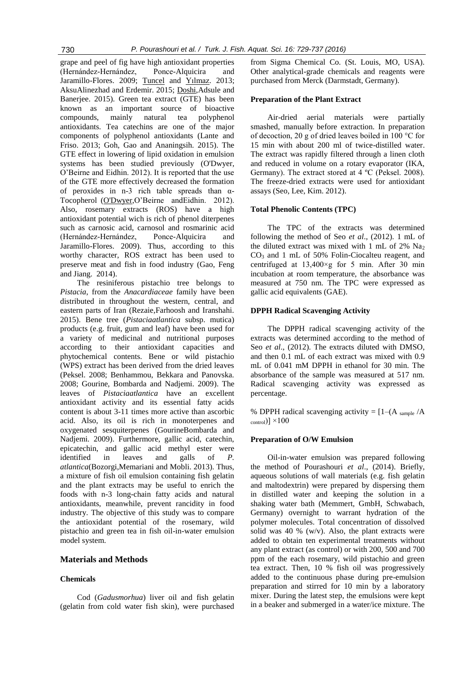grape and peel of fig have high antioxidant properties (Hernández-Hernández, Ponce-Alquicira and Jaramillo-Flores. 2009; [Tuncel](http://link.springer.com/search?facet-creator=%22Necati+Bar%C4%B1%C5%9F+Tuncel%22) and [Yılmaz.](http://link.springer.com/search?facet-creator=%22Ne%C5%9Fe+Y%C4%B1lmaz%22) 2013; AksuAlinezhad and Erdemir. 2015; [Doshi,](http://link.springer.com/search?facet-creator=%22Pooja+Doshi%22)Adsule and Banerjee. 2015). Green tea extract (GTE) has been known as an important source of bioactive compounds, mainly natural tea polyphenol antioxidants. Tea catechins are one of the major components of polyphenol antioxidants (Lante and Friso. 2013; Goh, Gao and Ananingsih. 2015). The GTE effect in lowering of lipid oxidation in emulsion systems has been studied previously (O'Dwyer, O'Beirne and Eidhin. 2012). It is reported that the use of the GTE more effectively decreased the formation of peroxides in n-3 rich table spreads than  $\alpha$ -Tocopherol [\(O'Dwyer,](http://www.ncbi.nlm.nih.gov/pubmed/?term=O%27%20Dwyer%20SP%5BAuthor%5D&cauthor=true&cauthor_uid=23411225)O'Beirne andEidhin. 2012). Also, rosemary extracts (ROS) have a high antioxidant potential wich is rich of phenol diterpenes such as carnosic acid, carnosol and rosmarinic acid (Hernández-Hernández, Ponce-Alquicira and Jaramillo-Flores. 2009). Thus, according to this worthy character, ROS extract has been used to preserve meat and fish in food industry (Gao, Feng and Jiang. 2014).

The resiniferous pistachio tree belongs to *Pistacia*, from the *Anacardiaceae* family have been distributed in throughout the western, central, and eastern parts of Iran (Rezaie,Farhoosh and Iranshahi. 2015). Bene tree (*Pistaciaatlantica* subsp. mutica) products (e.g. fruit, gum and leaf) have been used for a variety of medicinal and nutritional purposes according to their antioxidant capacities and phytochemical contents. Bene or wild pistachio (WPS) extract has been derived from the dried leaves (Peksel. 2008; Benhammou, Bekkara and Panovska. 2008; Gourine, Bombarda and Nadjemi. 2009). The leaves of *Pistaciaatlantica* have an excellent antioxidant activity and its essential fatty acids content is about 3-11 times more active than ascorbic acid. Also, its oil is rich in monoterpenes and oxygenated sesquiterpenes (GourineBombarda and Nadjemi. 2009). Furthermore, gallic acid, catechin, epicatechin, and gallic acid methyl ester were identified in leaves and galls of *P. atlantica*(Bozorgi,Memariani and Mobli. 2013). Thus, a mixture of fish oil emulsion containing fish gelatin and the plant extracts may be useful to enrich the foods with n-3 long-chain fatty acids and natural antioxidants, meanwhile, prevent rancidity in food industry. The objective of this study was to compare the antioxidant potential of the rosemary, wild pistachio and green tea in fish oil-in-water emulsion model system.

## **Materials and Methods**

## **Chemicals**

Cod (*Gadusmorhua*) liver oil and fish gelatin (gelatin from cold water fish skin), were purchased from Sigma Chemical Co. (St. Louis, MO, USA). Other analytical-grade chemicals and reagents were purchased from Merck (Darmstadt, Germany).

## **Preparation of the Plant Extract**

Air-dried aerial materials were partially smashed, manually before extraction. In preparation of decoction, 20 g of dried leaves boiled in 100 °C for 15 min with about 200 ml of twice-distilled water. The extract was rapidly filtered through a linen cloth and reduced in volume on a rotary evaporator (IKA, Germany). The extract stored at 4 ºC (Peksel. 2008). The freeze-dried extracts were used for antioxidant assays (Seo, Lee, Kim. 2012).

#### **Total Phenolic Contents (TPC)**

The TPC of the extracts was determined following the method of Seo *et al*., (2012). 1 mL of the diluted extract was mixed with 1 mL of 2% Na<sup>2</sup>  $CO<sub>3</sub>$  and 1 mL of 50% Folin-Ciocalteu reagent, and centrifuged at 13,400×g for 5 min. After 30 min incubation at room temperature, the absorbance was measured at 750 nm. The TPC were expressed as gallic acid equivalents (GAE).

#### **DPPH Radical Scavenging Activity**

The DPPH radical scavenging activity of the extracts was determined according to the method of Seo *et al*., (2012). The extracts diluted with DMSO, and then 0.1 mL of each extract was mixed with 0.9 mL of 0.041 mM DPPH in ethanol for 30 min. The absorbance of the sample was measured at 517 nm. Radical scavenging activity was expressed as percentage.

% DPPH radical scavenging activity =  $[1-(A_{sample}/A)]$  $_{\rm control})$ ]  $\times$ 100

## **Preparation of O/W Emulsion**

Oil-in-water emulsion was prepared following the method of Pourashouri *et al*., (2014). Briefly, aqueous solutions of wall materials (e.g. fish gelatin and maltodextrin) were prepared by dispersing them in distilled water and keeping the solution in a shaking water bath (Memmert, GmbH, Schwabach, Germany) overnight to warrant hydration of the polymer molecules. Total concentration of dissolved solid was 40 % (w/v). Also, the plant extracts were added to obtain ten experimental treatments without any plant extract (as control) or with 200, 500 and 700 ppm of the each rosemary, wild pistachio and green tea extract. Then, 10 % fish oil was progressively added to the continuous phase during pre-emulsion preparation and stirred for 10 min by a laboratory mixer. During the latest step, the emulsions were kept in a beaker and submerged in a water/ice mixture. The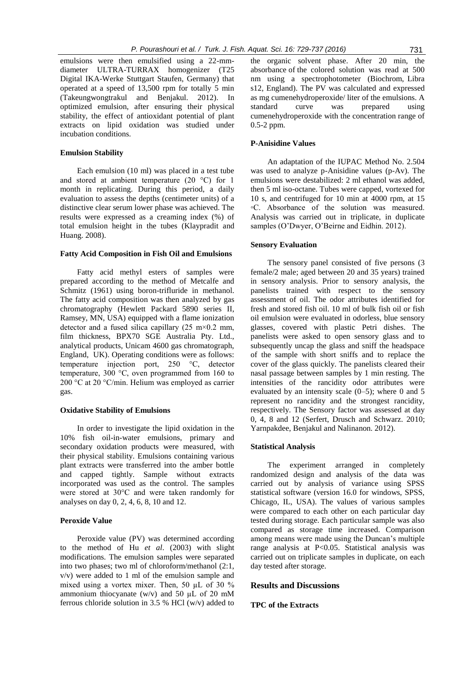emulsions were then emulsified using a 22-mmdiameter ULTRA-TURRAX homogenizer (T25 Digital IKA-Werke Stuttgart Staufen, Germany) that operated at a speed of 13,500 rpm for totally 5 min (Takeungwongtrakul and Benjakul. 2012). In optimized emulsion, after ensuring their physical stability, the effect of antioxidant potential of plant extracts on lipid oxidation was studied under incubation conditions.

## **Emulsion Stability**

Each emulsion (10 ml) was placed in a test tube and stored at ambient temperature (20 °C) for 1 month in replicating. During this period, a daily evaluation to assess the depths (centimeter units) of a distinctive clear serum lower phase was achieved. The results were expressed as a creaming index (%) of total emulsion height in the tubes (Klaypradit and Huang. 2008).

#### **Fatty Acid Composition in Fish Oil and Emulsions**

Fatty acid methyl esters of samples were prepared according to the method of Metcalfe and Schmitz (1961) using boron-trifluride in methanol. The fatty acid composition was then analyzed by gas chromatography (Hewlett Packard 5890 series II, Ramsey, MN, USA) equipped with a flame ionization detector and a fused silica capillary  $(25 \text{ m} \times 0.2 \text{ mm})$ , film thickness, BPX70 SGE Australia Pty. Ltd., analytical products, Unicam 4600 gas chromatograph, England, UK). Operating conditions were as follows: temperature injection port, 250 °C, detector temperature, 300 °C, oven programmed from 160 to 200 °C at 20 °C/min. Helium was employed as carrier gas.

#### **Oxidative Stability of Emulsions**

In order to investigate the lipid oxidation in the 10% fish oil-in-water emulsions, primary and secondary oxidation products were measured, with their physical stability. Emulsions containing various plant extracts were transferred into the amber bottle and capped tightly. Sample without extracts incorporated was used as the control. The samples were stored at 30°C and were taken randomly for analyses on day 0, 2, 4, 6, 8, 10 and 12.

## **Peroxide Value**

Peroxide value (PV) was determined according to the method of Hu *et al*. (2003) with slight modifications. The emulsion samples were separated into two phases; two ml of chloroform/methanol (2:1, v/v) were added to 1 ml of the emulsion sample and mixed using a vortex mixer. Then, 50 µL of 30 % ammonium thiocyanate (w/v) and 50  $\mu$ L of 20 mM ferrous chloride solution in 3.5 % HCl (w/v) added to

the organic solvent phase. After 20 min, the absorbance of the colored solution was read at 500 nm using a spectrophotometer (Biochrom, Libra s12, England). The PV was calculated and expressed as mg cumenehydroperoxide/ liter of the emulsions. A standard curve was prepared using cumenehydroperoxide with the concentration range of 0.5-2 ppm.

## **P-Anisidine Values**

An adaptation of the IUPAC Method No. 2.504 was used to analyze p-Anisidine values (p-Av). The emulsions were destabilized: 2 ml ethanol was added, then 5 ml iso-octane. Tubes were capped, vortexed for 10 s, and centrifuged for 10 min at 4000 rpm, at 15 ◦C. Absorbance of the solution was measured. Analysis was carried out in triplicate, in duplicate samples (O'Dwyer, O'Beirne and Eidhin. 2012).

#### **Sensory Evaluation**

The sensory panel consisted of five persons (3 female/2 male; aged between 20 and 35 years) trained in sensory analysis. Prior to sensory analysis, the panelists trained with respect to the sensory assessment of oil. The odor attributes identified for fresh and stored fish oil. 10 ml of bulk fish oil or fish oil emulsion were evaluated in odorless, blue sensory glasses, covered with plastic Petri dishes. The panelists were asked to open sensory glass and to subsequently uncap the glass and sniff the headspace of the sample with short sniffs and to replace the cover of the glass quickly. The panelists cleared their nasal passage between samples by 1 min resting. The intensities of the rancidity odor attributes were evaluated by an intensity scale  $(0-5)$ ; where 0 and 5 represent no rancidity and the strongest rancidity, respectively. The Sensory factor was assessed at day 0, 4, 8 and 12 (Serfert, Drusch and Schwarz. 2010; Yarnpakdee, Benjakul and Nalinanon. 2012).

## **Statistical Analysis**

The experiment arranged in completely randomized design and analysis of the data was carried out by analysis of variance using SPSS statistical software (version 16.0 for windows, SPSS, Chicago, IL, USA). The values of various samples were compared to each other on each particular day tested during storage. Each particular sample was also compared as storage time increased. Comparison among means were made using the Duncan's multiple range analysis at P<0.05. Statistical analysis was carried out on triplicate samples in duplicate, on each day tested after storage.

## **Results and Discussions**

#### **TPC of the Extracts**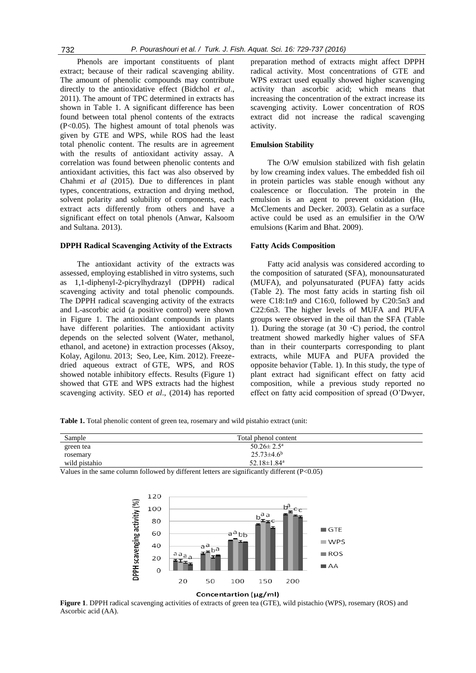Phenols are important constituents of plant extract; because of their radical scavenging ability. The amount of phenolic compounds may contribute directly to the antioxidative effect (Bidchol *et al*., 2011). The amount of TPC determined in extracts has shown in Table 1. A significant difference has been found between total phenol contents of the extracts (P<0.05). The highest amount of total phenols was given by GTE and WPS, while ROS had the least total phenolic content. The results are in agreement with the results of antioxidant activity assay. A correlation was found between phenolic contents and antioxidant activities, this fact was also observed by Chahmi *et al* (2015). Due to differences in plant types, concentrations, extraction and drying method, solvent polarity and solubility of components, each extract acts differently from others and have a significant effect on total phenols (Anwar, Kalsoom and Sultana. 2013).

## **DPPH Radical Scavenging Activity of the Extracts**

The antioxidant activity of the extracts was assessed, employing established in vitro systems, such as 1,1-diphenyl-2-picrylhydrazyl (DPPH) radical scavenging activity and total phenolic compounds. The DPPH radical scavenging activity of the extracts and L-ascorbic acid (a positive control) were shown in Figure 1. The antioxidant compounds in plants have different polarities. The antioxidant activity depends on the selected solvent (Water, methanol, ethanol, and acetone) in extraction processes (Aksoy, Kolay, Agilonu. 2013; Seo, Lee, Kim. 2012). Freezedried aqueous extract of GTE, WPS, and ROS showed notable inhibitory effects. Results (Figure 1) showed that GTE and WPS extracts had the highest scavenging activity. SEO *et al*., (2014) has reported

preparation method of extracts might affect DPPH radical activity. Most concentrations of GTE and WPS extract used equally showed higher scavenging activity than ascorbic acid; which means that increasing the concentration of the extract increase its scavenging activity. Lower concentration of ROS extract did not increase the radical scavenging activity.

#### **Emulsion Stability**

The O/W emulsion stabilized with fish gelatin by low creaming index values. The embedded fish oil in protein particles was stable enough without any coalescence or flocculation. The protein in the emulsion is an agent to prevent oxidation (Hu, McClements and Decker. 2003). Gelatin as a surface active could be used as an emulsifier in the O/W emulsions (Karim and Bhat. 2009).

## **Fatty Acids Composition**

Fatty acid analysis was considered according to the composition of saturated (SFA), monounsaturated (MUFA), and polyunsaturated (PUFA) fatty acids (Table 2). The most fatty acids in starting fish oil were C18:1n9 and C16:0, followed by C20:5n3 and C22:6n3. The higher levels of MUFA and PUFA groups were observed in the oil than the SFA (Table 1). During the storage (at 30 ◦C) period, the control treatment showed markedly higher values of SFA than in their counterparts corresponding to plant extracts, while MUFA and PUFA provided the opposite behavior (Table. 1). In this study, the type of plant extract had significant effect on fatty acid composition, while a previous study reported no effect on fatty acid composition of spread (O'Dwyer,

**Table 1.** Total phenolic content of green tea, rosemary and wild pistahio extract (unit:

| Sample        | Total phenol content                                                                                                                                                                                                                                                                                                                                                                                                         |  |
|---------------|------------------------------------------------------------------------------------------------------------------------------------------------------------------------------------------------------------------------------------------------------------------------------------------------------------------------------------------------------------------------------------------------------------------------------|--|
| green tea     | $50.26 \pm 2.5^{\text{a}}$                                                                                                                                                                                                                                                                                                                                                                                                   |  |
| rosemary      | $25.73\pm4.6^{\rm b}$                                                                                                                                                                                                                                                                                                                                                                                                        |  |
| wild pistahio | 52.18 $\pm$ 1.84 <sup>a</sup>                                                                                                                                                                                                                                                                                                                                                                                                |  |
|               | $\mathbf{V} = \mathbf{V} = \mathbf{V} = \mathbf{V} = \mathbf{V} = \mathbf{V} = \mathbf{V} = \mathbf{V} = \mathbf{V} = \mathbf{V} = \mathbf{V} = \mathbf{V} = \mathbf{V} = \mathbf{V} = \mathbf{V} = \mathbf{V} = \mathbf{V} = \mathbf{V} = \mathbf{V} = \mathbf{V} = \mathbf{V} = \mathbf{V} = \mathbf{V} = \mathbf{V} = \mathbf{V} = \mathbf{V} = \mathbf{V} = \mathbf{V} = \mathbf{V} = \mathbf{V} = \mathbf{V} = \mathbf$ |  |

Values in the same column followed by different letters are significantly different (P<0.05)



Concentartion (µg/ml)

**Figure 1**. DPPH radical scavenging activities of extracts of green tea (GTE), wild pistachio (WPS), rosemary (ROS) and Ascorbic acid (AA).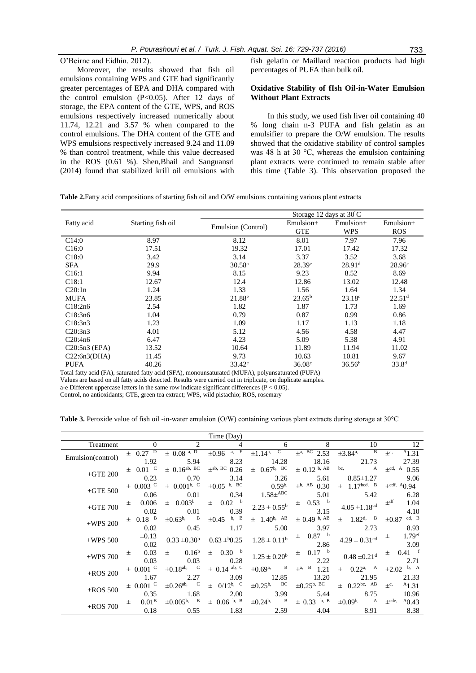O'Beirne and Eidhin. 2012).

Moreover, the results showed that fish oil emulsions containing WPS and GTE had significantly greater percentages of EPA and DHA compared with the control emulsion (P<0.05). After 12 days of storage, the EPA content of the GTE, WPS, and ROS emulsions respectively increased numerically about 11.74, 12.21 and 3.57 % when compared to the control emulsions. The DHA content of the GTE and WPS emulsions respectively increased 9.24 and 11.09 % than control treatment, while this value decreased in the ROS (0.61 %). Shen,Bhail and Sanguansri (2014) found that stabilized krill oil emulsions with

fish gelatin or Maillard reaction products had high percentages of PUFA than bulk oil.

## **Oxidative Stability of fIsh Oil-in-Water Emulsion Without Plant Extracts**

In this study, we used fish liver oil containing 40 % long chain n-3 PUFA and fish gelatin as an emulsifier to prepare the O/W emulsion. The results showed that the oxidative stability of control samples was 48 h at 30 °C, whereas the emulsion containing plant extracts were continued to remain stable after this time (Table 3). This observation proposed the

**Table 2.**Fatty acid compositions of starting fish oil and O/W emulsions containing various plant extracts

|                   |                   | Storage 12 days at $30^{\circ}$ C |                 |                    |                      |
|-------------------|-------------------|-----------------------------------|-----------------|--------------------|----------------------|
| Fatty acid        | Starting fish oil |                                   | Emulsion+       | $Emulsion+$        | Emulsion+            |
|                   |                   | Emulsion (Control)                | <b>GTE</b>      | WPS                | <b>ROS</b>           |
| C14:0             | 8.97              | 8.12                              | 8.01            | 7.97               | 7.96                 |
| C <sub>16:0</sub> | 17.51             | 19.32                             | 17.01           | 17.42              | 17.32                |
| C18:0             | 3.42              | 3.14                              | 3.37            | 3.52               | 3.68                 |
| <b>SFA</b>        | 29.9              | 30.58 <sup>a</sup>                | $28.39^e$       | 28.91 <sup>d</sup> | 28.96 <sup>c</sup>   |
| C <sub>16:1</sub> | 9.94              | 8.15                              | 9.23            | 8.52               | 8.69                 |
| C18:1             | 12.67             | 12.4                              | 12.86           | 13.02              | 12.48                |
| C20:1n            | 1.24              | 1.33                              | 1.56            | 1.64               | 1.34                 |
| <b>MUFA</b>       | 23.85             | $21.88^e$                         | $23.65^{\rm b}$ | $23.18^{\circ}$    | $22.51$ <sup>d</sup> |
| C18:2n6           | 2.54              | 1.82                              | 1.87            | 1.73               | 1.69                 |
| C18:3n6           | 1.04              | 0.79                              | 0.87            | 0.99               | 0.86                 |
| C18:3n3           | 1.23              | 1.09                              | 1.17            | 1.13               | 1.18                 |
| C20:3n3           | 4.01              | 5.12                              | 4.56            | 4.58               | 4.47                 |
| C20:4n6           | 6.47              | 4.23                              | 5.09            | 5.38               | 4.91                 |
| $C20:5n3$ (EPA)   | 13.52             | 10.64                             | 11.89           | 11.94              | 11.02                |
| C22:6n3(DHA)      | 11.45             | 9.73                              | 10.63           | 10.81              | 9.67                 |
| <b>PUFA</b>       | 40.26             | $33.42^e$                         | $36.08^{\circ}$ | 36.56 <sup>b</sup> | $33.8^{d}$           |

Total fatty acid (FA), saturated fatty acid (SFA), monounsaturated (MUFA), polyunsaturated (PUFA)

Values are based on all fatty acids detected. Results were carried out in triplicate, on duplicate samples.

a-e Different uppercase letters in the same row indicate significant differences ( $P < 0.05$ ).

Control, no antioxidants; GTE, green tea extract; WPS, wild pistachio; ROS, rosemary

| <b>Table 3.</b> Peroxide value of fish oil -in-water emulsion (O/W) containing various plant extracts during storage at 30 °C |  |  |  |  |
|-------------------------------------------------------------------------------------------------------------------------------|--|--|--|--|
|-------------------------------------------------------------------------------------------------------------------------------|--|--|--|--|

|                   |                          |                              | Time (Day)                   |                             |                                |                                |                             |
|-------------------|--------------------------|------------------------------|------------------------------|-----------------------------|--------------------------------|--------------------------------|-----------------------------|
| Treatment         | $\Omega$                 | 2                            | 4                            | 6                           | 8                              | 10                             | 12                          |
| Emulsion(control) | $\pm$ 0.27 <sup>D</sup>  | $\pm$ 0.08 a, D              | a, E<br>$\pm 0.96$           | $\pm 1.14$ <sup>a, C</sup>  | $\pm$ <sup>a, BC</sup> 2.53    | B<br>$\pm 3.84^{\text{a}}$     | A1.31<br>$+a,$              |
|                   | 1.92                     | 5.94                         | 8.23                         | 14.28                       | 18.16                          | 21.73                          | 27.39                       |
| $+$ GTE 200       | $\pm$ 0.01 °             | $\pm$ 0.16 <sup>ab, BC</sup> | $\pm$ <sup>ab, BC</sup> 0.26 | $\pm$ 0.67 <sup>b, BC</sup> | $\pm$ 0.12 <sup>b, AB</sup>    | bc,<br>A                       | $\pm$ <sup>cd, A</sup> 0.55 |
|                   | 0.23                     | 0.70                         | 3.14                         | 3.26                        | 5.61                           | $8.85 \pm 1.27$                | 9.06                        |
| $+$ GTE 500       | $\pm$ 0.003 <sup>C</sup> | $\pm$ 0.001 <sup>b, C</sup>  | $\pm 0.05$ b, BC             | 0.59 <sup>b</sup>           | $\pm^{b, AB} 0.30$             | $\pm$ 1.17bcd, B               | $\pm$ cdf, A $0.94$         |
|                   | 0.06                     | 0.01                         | 0.34                         | $1.58\pm$ ABC               | 5.01                           | 5.42                           | 6.28                        |
| $+$ GTE 700       | 0.006<br>士               | $\pm$ 0.003 <sup>b</sup>     | $\pm$ 0.02 $^{\rm b}$        | $2.23\pm0.55^{\textrm{b}}$  | $\pm$ 0.53 $^{\rm b}$          | $4.05\pm\!1.18^{\text{cd}}$    | $+$ df<br>1.04              |
|                   | 0.02                     | 0.01                         | 0.39                         |                             | 3.15                           |                                | 4.10                        |
| $+WPS$ 200        | $\pm$ 0.18 <sup>B</sup>  | $\pm 0.63^{\rm b}$ , B       | $\pm 0.45$ b, B              | $\pm$ 1.40 <sup>b, AB</sup> | $\pm$ 0.49 b, AB               | $1.82^{\rm d}$ , B<br>$\pm$    | cd, B<br>$\pm 0.87$         |
|                   | 0.02                     | 0.45                         | 1.17                         | 5.00                        | 3.97                           | 2.73                           | 8.93                        |
| $+WPS 500$        | $\pm 0.13$               | $0.33 \pm 0.30^b$            | $0.63 \pm 0.25$              | $1.28 \pm 0.11^b$           | $\pm$ 0.87 $^{\rm b}$          | $4.29 \pm 0.31^{\text{cd}}$    | 1.79 <sup>ef</sup><br>$\pm$ |
|                   | 0.02                     |                              |                              |                             | 2.86                           |                                | 3.09                        |
| $+WPS$ 700        | 0.03<br>士                | 0.16 <sup>b</sup><br>$\pm$   | $\pm$ 0.30 $^{\rm b}$        | $1.25 \pm 0.20^b$           | $0.17$ b<br>$\pm$              | $0.48 \pm 0.21$ <sup>d</sup>   | $0.41$ f<br>士               |
|                   | 0.03                     | 0.03                         | 0.28                         |                             | 2.22                           |                                | 2.71                        |
| $+ROS$ 200        | $\pm$ 0.001 °            | $\pm 0.18$ <sup>ab, C</sup>  | $\pm$ 0.14 ab, C             | $\pm 0.69$ <sup>a, B</sup>  | $\pm$ <sup>a</sup> , B<br>1.21 | $0.22^{\text{a}}$ , A<br>$\pm$ | $\pm 2.02$ b, A             |
|                   | 1.67                     | 2.27                         | 3.09                         | 12.85                       | 13.20                          | 21.95                          | 21.33                       |
| $+ROS 500$        | $\pm$ 0.001 °            | $\pm 0.26$ <sup>ab, C</sup>  | $\pm$ 0/12 <sup>b, C</sup>   | $\pm 0.25^{\rm b}$ , BC     | $\pm 0.25^{\rm b, \ BC}$       | $\pm$ 0.22bc, AB               | A1.31<br>$\pm^c$            |
|                   | 0.35                     | 1.68                         | 2.00                         | 3.99                        | 5.44                           | 8.75                           | 10.96                       |
| $+ROS$ 700        | 0.01 <sup>B</sup><br>士   | $\pm 0.005^{\rm b}$ , B      | $\pm$ 0.06 b, B              | $\pm 0.24^{\rm b}$ , B      | $\pm$ 0.33 b, B                | $\pm 0.09^{\rm b}$ , A         | $\pm$ cde,<br>$^{A}0.43$    |
|                   | 0.18                     | 0.55                         | 1.83                         | 2.59                        | 4.04                           | 8.91                           | 8.38                        |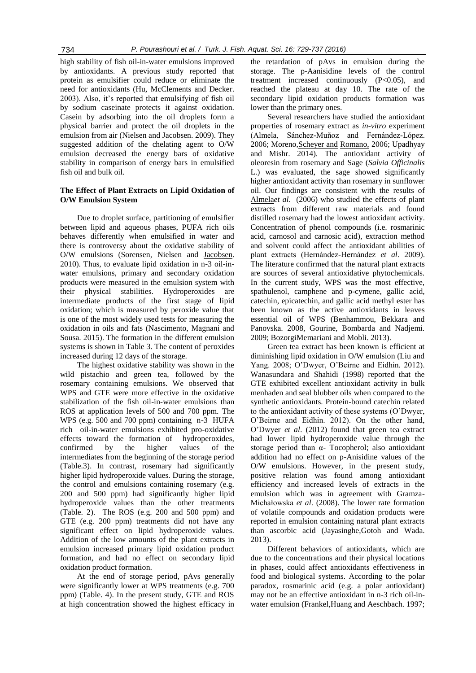high stability of fish oil-in-water emulsions improved by antioxidants. A previous study reported that protein as emulsifier could reduce or eliminate the need for antioxidants (Hu, McClements and Decker. 2003). Also, it's reported that emulsifying of fish oil by sodium caseinate protects it against oxidation. Casein by adsorbing into the oil droplets form a physical barrier and protect the oil droplets in the emulsion from air (Nielsen and Jacobsen. 2009). They suggested addition of the chelating agent to O/W emulsion decreased the energy bars of oxidative stability in comparison of energy bars in emulsified fish oil and bulk oil.

## **The Effect of Plant Extracts on Lipid Oxidation of O/W Emulsion System**

Due to droplet surface, partitioning of emulsifier between lipid and aqueous phases, PUFA rich oils behaves differently when emulsified in water and there is controversy about the oxidative stability of O/W emulsions (Sorensen*,* Nielsen and [Jacobsen.](https://www.researchgate.net/researcher/13850993_Charlotte_Jacobsen) 2010). Thus, to evaluate lipid oxidation in n-3 oil-inwater emulsions, primary and secondary oxidation products were measured in the emulsion system with their physical stabilities. Hydroperoxides are intermediate products of the first stage of lipid oxidation; which is measured by peroxide value that is one of the most widely used tests for measuring the oxidation in oils and fats (Nascimento, Magnani and Sousa. 2015). The formation in the different emulsion systems is shown in Table 3. The content of peroxides increased during 12 days of the storage.

The highest oxidative stability was shown in the wild pistachio and green tea, followed by the rosemary containing emulsions. We observed that WPS and GTE were more effective in the oxidative stabilization of the fish oil-in-water emulsions than ROS at application levels of 500 and 700 ppm. The WPS (e.g. 500 and 700 ppm) containing n-3 HUFA rich oil-in-water emulsions exhibited pro-oxidative effects toward the formation of hydroperoxides, confirmed by the higher values of the intermediates from the beginning of the storage period (Table.3). In contrast, rosemary had significantly higher lipid hydroperoxide values. During the storage, the control and emulsions containing rosemary (e.g. 200 and 500 ppm) had significantly higher lipid hydroperoxide values than the other treatments (Table. 2). The ROS (e.g. 200 and 500 ppm) and GTE (e.g. 200 ppm) treatments did not have any significant effect on lipid hydroperoxide values. Addition of the low amounts of the plant extracts in emulsion increased primary lipid oxidation product formation, and had no effect on secondary lipid oxidation product formation.

At the end of storage period, pAvs generally were significantly lower at WPS treatments (e.g. 700 ppm) (Table. 4). In the present study, GTE and ROS at high concentration showed the highest efficacy in the retardation of pAvs in emulsion during the storage. The p-Aanisidine levels of the control treatment increased continuously (P<0.05), and reached the plateau at day 10. The rate of the secondary lipid oxidation products formation was lower than the primary ones.

Several researchers have studied the antioxidant properties of rosemary extract as *in-vitro* experiment (Almela, Sánchez-Muñoz and Fernández-López. 2006; Moreno[,Scheyer and](http://www.ncbi.nlm.nih.gov/pubmed/?term=Scheyer%20T%5BAuthor%5D&cauthor=true&cauthor_uid=16390832) [Romano,](http://www.ncbi.nlm.nih.gov/pubmed/?term=Romano%20CS%5BAuthor%5D&cauthor=true&cauthor_uid=16390832) 2006; Upadhyay and Mishr. 2014). The antioxidant activity of oleoresin from rosemary and Sage (*Salvia Officinalis* L.) was evaluated, the sage showed significantly higher antioxidant activity than rosemary in sunflower oil. Our findings are consistent with the results of [Almela](http://www.sciencedirect.com/science/article/pii/S0021967306004468)*et al*. (2006) who studied the effects of plant extracts from different raw materials and found distilled rosemary had the lowest antioxidant activity. Concentration of phenol compounds (i.e. rosmarinic acid, carnosol and carnosic acid), extraction method and solvent could affect the antioxidant abilities of plant extracts (Hernández-Hernández *et al*. 2009). The literature confirmed that the natural plant extracts are sources of several antioxidative phytochemicals. In the current study, WPS was the most effective, spathulenol, camphene and p-cymene, gallic acid, catechin, epicatechin, and gallic acid methyl ester has been known as the active antioxidants in leaves essential oil of WPS (Benhammou, Bekkara and Panovska. 2008, Gourine, Bombarda and Nadjemi. 2009; BozorgiMemariani and Mobli. 2013).

Green tea extract has been known is efficient at diminishing lipid oxidation in O/W emulsion (Liu and Yang. 2008; O'Dwyer, O'Beirne and Eidhin. 2012). Wanasundara and Shahidi (1998) reported that the GTE exhibited excellent antioxidant activity in bulk menhaden and seal blubber oils when compared to the synthetic antioxidants. Protein-bound catechin related to the antioxidant activity of these systems (O'Dwyer, O'Beirne and Eidhin. 2012). On the other hand, O'Dwyer *et al*. (2012) found that green tea extract had lower lipid hydroperoxide value through the storage period than α- Tocopherol; also antioxidant addition had no effect on p-Anisidine values of the O/W emulsions. However, in the present study, positive relation was found among antioxidant efficiency and increased levels of extracts in the emulsion which was in agreement with Gramza-Michałowska *et al*. (2008). The lower rate formation of volatile compounds and oxidation products were reported in emulsion containing natural plant extracts than ascorbic acid (Jayasinghe,Gotoh and Wada. 2013).

Different behaviors of antioxidants, which are due to the concentrations and their physical locations in phases, could affect antioxidants effectiveness in food and biological systems. According to the polar paradox, rosmarinic acid (e.g. a polar antioxidant) may not be an effective antioxidant in n-3 rich oil-inwater emulsion (Frankel,Huang and Aeschbach. 1997;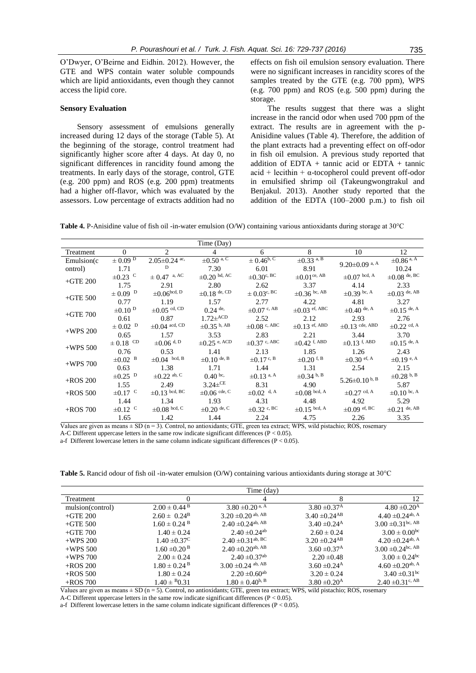O'Dwyer, O'Beirne and Eidhin. 2012). However, the GTE and WPS contain water soluble compounds which are lipid antioxidants, even though they cannot access the lipid core.

#### **Sensory Evaluation**

Sensory assessment of emulsions generally increased during 12 days of the storage (Table 5). At the beginning of the storage, control treatment had significantly higher score after 4 days. At day 0, no significant differences in rancidity found among the treatments. In early days of the storage, control, GTE (e.g. 200 ppm) and ROS (e.g. 200 ppm) treatments had a higher off-flavor, which was evaluated by the assessors. Low percentage of extracts addition had no effects on fish oil emulsion sensory evaluation. There were no significant increases in rancidity scores of the samples treated by the GTE (e.g. 700 ppm), WPS (e.g. 700 ppm) and ROS (e.g. 500 ppm) during the storage.

The results suggest that there was a slight increase in the rancid odor when used 700 ppm of the extract. The results are in agreement with the p-Anisidine values (Table 4). Therefore, the addition of the plant extracts had a preventing effect on off-odor in fish oil emulsion. A previous study reported that addition of EDTA + tannic acid or EDTA + tannic  $\alpha$ cid + lecithin +  $\alpha$ -tocopherol could prevent off-odor in emulsified shrimp oil (Takeungwongtrakul and Benjakul. 2013). Another study reported that the addition of the EDTA (100–2000 p.m.) to fish oil

**Table 4.** P-Anisidine value of fish oil -in-water emulsion (O/W) containing various antioxidants during storage at 30°C

|             |                           |                     | Time (Day)                  |                            |                              |                             |                            |
|-------------|---------------------------|---------------------|-----------------------------|----------------------------|------------------------------|-----------------------------|----------------------------|
| Treatment   | $\Omega$                  | $\overline{2}$      | $\overline{4}$              | 6                          | 8                            | 10                          | 12                         |
| Emulsion(c) | $\pm$ 0.09 $\overline{D}$ | $2.05 \pm 0.24$ ac, | $\pm 0.50^{\overline{a,C}}$ | $\pm 0.46^{\rm b, C}$      | $\pm 0.33$ a, B              | $9.20 \pm 0.09$ a, A        | $\pm 0.86$ <sup>a, A</sup> |
| ontrol)     | 1.71                      | D                   | 7.30                        | 6.01                       | 8.91                         |                             | 10.24                      |
| $+$ GTE 200 | $\pm 0.23$ <sup>C</sup>   | $\pm 0.47$ a, AC    | $\pm 0.20$ bd, AC           | $\pm 0.30^{\circ, \, BC}$  | $\pm 0.01$ <sup>ce, AB</sup> | $\pm 0.07$ bcd, A           | $\pm 0.08$ de, BC          |
|             | 1.75                      | 2.91                | 2.80                        | 2.62                       | 3.37                         | 4.14                        | 2.33                       |
| $+$ GTE 500 | $\pm$ 0.09 <sup>D</sup>   | $\pm 0.06$ bcd, D   | $\pm 0.18$ de, CD           | $\pm 0.03^{\circ}$ , BC    | $\pm 0.36$ bc, AB            | $\pm 0.39$ bc, A            | $\pm 0.03$ de, AB          |
|             | 0.77                      | 1.19                | 1.57                        | 2.77                       | 4.22                         | 4.81                        | 3.27                       |
| $+$ GTE 700 | $\pm 0.10$ <sup>D</sup>   | $\pm 0.05$ cd, CD   | $0.24$ de,                  | $\pm 0.07$ c, AB           | $\pm 0.03$ ef, ABC           | $\pm 0.40$ de, A            | $\pm 0.15$ de, A           |
|             | 0.61                      | 0.87                | $1.72\pm$ ACD               | 2.52                       | 2.12                         | 2.93                        | 2.76                       |
| $+WPS$ 200  | $\pm$ 0.02 <sup>D</sup>   | $\pm 0.04$ acd, CD  | $\pm 0.35$ b, AB            | $\pm 0.08$ c, ABC          | $\pm 0.13$ ef, ABD           | $\pm 0.13$ cde, ABD         | $\pm 0.22$ cd, A           |
|             | 0.65                      | 1.57                | 3.53                        | 2.83                       | 2.21                         | 3.44                        | 3.70                       |
| $+WPS 500$  | $\pm$ 0.18 $\,^{\rm CD}$  | $\pm 0.06$ d, D     | $\pm 0.25$ e, ACD           | $\pm 0.37$ c, ABC          | $\pm 0.42$ f, ABD            | $\pm 0.13$ f, ABD           | $\pm 0.15$ de, A           |
|             | 0.76                      | 0.53                | 1.41                        | 2.13                       | 1.85                         | 1.26                        | 2.43                       |
| $+WPS$ 700  | $\pm 0.02$ <sup>B</sup>   | $\pm 0.04$ bcd, B   | $\pm 0.10$ de, B            | $\pm 0.17$ c, B            | $\pm 0.20$ <sup>f, B</sup>   | $\pm 0.30$ ef, A            | $\pm 0.19$ e, A            |
|             | 0.63                      | 1.38                | 1.71                        | 1.44                       | 1.31                         | 2.54                        | 2.15                       |
| $+$ ROS 200 | $\pm 0.25$ <sup>D</sup>   | $\pm 0.22$ ab, C    | $0.40 \text{ bc}$           | $\pm 0.13$ a, A            | $\pm 0.34$ b, B              | $5.26 \pm 0.10^{b, B}$      | $\pm 0.28$ b, B            |
|             | 1.55                      | 2.49                | $3.24\pm$ CE                | 8.31                       | 4.90                         |                             | 5.87                       |
| $+ROS$ 500  | $\pm 0.17$ <sup>C</sup>   | $\pm$ 0.13 bcd, BC  | $\pm 0.06$ cde, C           | $\pm 0.02$ <sup>d, A</sup> | $\pm 0.08$ bcd, A            | $\pm 0.27$ <sup>cd, A</sup> | $\pm 0.10$ bc, A           |
|             | 1.44                      | 1.34                | 1.93                        | 4.31                       | 4.48                         | 4.92                        | 5.29                       |
| $+$ ROS 700 | $\pm 0.12$ <sup>C</sup>   | $\pm 0.08$ bcd, C   | $\pm 0.20$ de, C            | $\pm 0.32$ c, BC           | $\pm 0.15$ bcd, A            | $\pm 0.09$ ef, BC           | $\pm 0.21$ de, AB          |
|             | 1.65                      | 1.42                | 1.44                        | 2.24                       | 4.75                         | 2.26                        | 3.35                       |

Values are given as means  $\pm$  SD (n = 3). Control, no antioxidants; GTE, green tea extract; WPS, wild pistachio; ROS, rosemary A-C Different uppercase letters in the same row indicate significant differences ( $P < 0.05$ ).

a-f Different lowercase letters in the same column indicate significant differences (P < 0.05).

**Table 5.** Rancid odour of fish oil -in-water emulsion (O/W) containing various antioxidants during storage at 30°C

|                  | Time (day)                   |                                   |                               |                                  |  |  |
|------------------|------------------------------|-----------------------------------|-------------------------------|----------------------------------|--|--|
| Treatment        |                              | 4                                 |                               | 12                               |  |  |
| mulsion(control) | $2.00 \pm 0.44$ <sup>B</sup> | $3.80 \pm 0.20$ <sup>a, A</sup>   | $3.80 \pm 0.37$ <sup>A</sup>  | $4.80 \pm 0.20^{\rm A}$          |  |  |
| $+$ GTE 200      | $2.60 \pm 0.24^{\rm B}$      | $3.20 \pm 0.20$ ab, AB            | $3.40 \pm 0.24$ <sup>AB</sup> | $4.40 \pm 0.24$ <sup>ab, A</sup> |  |  |
| $+$ GTE 500      | $1.60 \pm 0.24$ <sup>B</sup> | $2.40 \pm 0.24$ <sup>ab, AB</sup> | $3.40 \pm 0.24$ <sup>A</sup>  | $3.00 \pm 0.31$ bc, AB           |  |  |
| +GTE 700         | $1.40 \pm 0.24$              | $2.40 \pm 0.24$ <sup>ab</sup>     | $2.60 \pm 0.24$               | $3.00 \pm 0.00^{bc}$             |  |  |
| $+WPS$ 200       | $1.40 \pm 0.37$ <sup>C</sup> | $2.40 \pm 0.31$ <sup>ab, BC</sup> | $3.20 \pm 0.24$ <sup>AB</sup> | $4.20 \pm 0.24$ <sup>ab, A</sup> |  |  |
| $+WPS$ 500       | $1.60 \pm 0.20$ <sup>B</sup> | $2.40 \pm 0.20$ <sup>ab, AB</sup> | $3.60 \pm 0.37$ <sup>A</sup>  | $3.00 \pm 0.24$ bc, AB           |  |  |
| $+WPS$ 700       | $2.00 \pm 0.24$              | $2.40 \pm 0.37$ <sup>ab</sup>     | $2.20 \pm 0.48$               | $3.00 \pm 0.24$ <sup>bc</sup>    |  |  |
| $+$ ROS 200      | $1.80 \pm 0.24$ <sup>B</sup> | $3.00 \pm 0.24$ ab, AB            | $3.60 \pm 0.24$ <sup>A</sup>  | $4.60 \pm 0.20$ <sup>ab, A</sup> |  |  |
| $+$ ROS 500      | $1.80 \pm 0.24$              | $2.20 \pm 0.60$ <sup>ab</sup>     | $3.20 \pm 0.24$               | $3.40 \pm 0.31$ <sup>bc</sup>    |  |  |
| $+$ ROS 700      | $1.40 \pm 80.31$             | $1.80 \pm 0.40^{b, B}$            | $3.80 \pm 0.20$ <sup>A</sup>  | $2.40 \pm 0.31$ <sup>c, AB</sup> |  |  |

Values are given as means  $\pm$  SD (n = 5). Control, no antioxidants; GTE, green tea extract; WPS, wild pistachio; ROS, rosemary

A-C Different uppercase letters in the same row indicate significant differences (P < 0.05).

a-f Different lowercase letters in the same column indicate significant differences ( $P < 0.05$ ).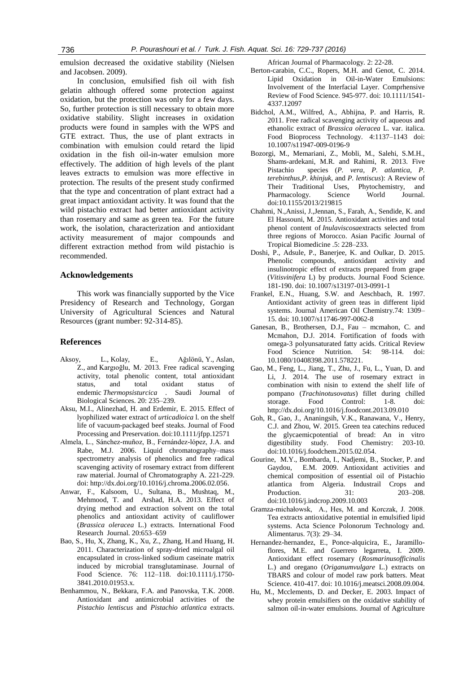736 *P. Pourashouri et al. / Turk. J. Fish. Aquat. Sci. 16: 729-737 (2016)*

emulsion decreased the oxidative stability (Nielsen and Jacobsen. 2009).

In conclusion, emulsified fish oil with fish gelatin although offered some protection against oxidation, but the protection was only for a few days. So, further protection is still necessary to obtain more oxidative stability. Slight increases in oxidation products were found in samples with the WPS and GTE extract. Thus, the use of plant extracts in combination with emulsion could retard the lipid oxidation in the fish oil-in-water emulsion more effectively. The addition of high levels of the plant leaves extracts to emulsion was more effective in protection. The results of the present study confirmed that the type and concentration of plant extract had a great impact antioxidant activity. It was found that the wild pistachio extract had better antioxidant activity than rosemary and same as green tea. For the future work, the isolation, characterization and antioxidant activity measurement of major compounds and different extraction method from wild pistachio is recommended.

## **Acknowledgements**

This work was financially supported by the Vice Presidency of Research and Technology, Gorgan University of Agricultural Sciences and Natural Resources (grant number: 92-314-85).

## **References**

- Aksoy, [L.,](http://www.ncbi.nlm.nih.gov/pubmed/?term=Aksoy%20L%5Bauth%5D) Kolay, [E., A](http://www.ncbi.nlm.nih.gov/pubmed/?term=Kolay%20E%5Bauth%5D)ğılönü, [Y.,](http://www.ncbi.nlm.nih.gov/pubmed/?term=A%26%23x0011f%3B%26%23x00131%3Bl%26%23x000f6%3Bn%26%23x000fc%3B%20Y%5Bauth%5D) Aslan, [Z.,](http://www.ncbi.nlm.nih.gov/pubmed/?term=Aslan%20Z%5Bauth%5D) and Kargıoğlu, [M.](http://www.ncbi.nlm.nih.gov/pubmed/?term=Karg%26%23x00131%3Bo%26%23x0011f%3Blu%20M%5Bauth%5D). 2013. Free radical scavenging activity, total phenolic content, total antioxidant status, and total oxidant status of endemic *Thermopsisturcica* . Saudi Journal of Biological Sciences. 20: 235–239.
- Aksu, M.I., Alinezhad, H. and Erdemir, E. 2015. Effect of lyophilized water extract of *urticadioica* l. on the shelf life of vacuum-packaged beef steaks. Journal of Food Processing and Preservation. doi:10.1111/jfpp.12571
- Almela, L., Sánchez-muñoz, B., Fernández-lópez, J.A. and Rabe, M.J. 2006. Liquid chromatography–mass spectrometry analysis of phenolics and free radical scavenging activity of rosemary extract from different raw material. [Journal of Chromatography A.](../../qv4w3/Desktop/Journal%20of%20Chromatography%20A) 221-229. doi[: http://dx.doi.org/10.1016/j.chroma.2006.02.056.](http://dx.doi.org/10.1016/j.chroma.2006.02.056)
- Anwar, F., Kalsoom, U., Sultana, B., Mushtaq, M., Mehmood, T. and Arshad, H.A. 2013. Effect of drying method and extraction solvent on the total phenolics and antioxidant activity of cauliflower (*Brassica oleracea* L.) extracts. International Food Research Journal. 20:653–659
- Bao, S., Hu, X, Zhang, K., Xu, Z., Zhang, H.and Huang, H. 2011. Characterization of spray-dried microalgal oil encapsulated in cross-linked sodium caseinate matrix induced by microbial transglutaminase. [Journal of](http://www.google.com/url?sa=t&rct=j&q=&esrc=s&source=web&cd=1&cad=rja&uact=8&ved=0CCAQFjAA&url=http%3A%2F%2Fonlinelibrary.wiley.com%2Fjournal%2F10.1111%2F%2528ISSN%25291750-3841&ei=eX1nVdLjKor8UqTYgMAP&usg=AFQjCNGeFFCisOnJS2u_eb7O4BTwRThhug&sig2=AToicLMuezLNmR_38ZKhCQ&bvm=bv.93990622,d.d24)  [Food Scie](http://www.google.com/url?sa=t&rct=j&q=&esrc=s&source=web&cd=1&cad=rja&uact=8&ved=0CCAQFjAA&url=http%3A%2F%2Fonlinelibrary.wiley.com%2Fjournal%2F10.1111%2F%2528ISSN%25291750-3841&ei=eX1nVdLjKor8UqTYgMAP&usg=AFQjCNGeFFCisOnJS2u_eb7O4BTwRThhug&sig2=AToicLMuezLNmR_38ZKhCQ&bvm=bv.93990622,d.d24)nce. 76: 112–118. doi:10.1111/j.1750- 3841.2010.01953.x.
- Benhammou, N., Bekkara, F.A. and Panovska, T.K. 2008. Antioxidant and antimicrobial activities of the *Pistachio lentiscus* and *Pistachio atlantica* extracts.

African Journal of Pharmacology. 2: 22-28.

- Berton-carabin, C.C., Ropers, M.H. and Genot, C. 2014. Lipid Oxidation in Oil-in-Water Emulsions: Involvement of the Interfacial Layer. Comprhensive Review of Food Science. 945-977. doi: 10.1111/1541- 4337.12097
- Bidchol, A.M., Wilfred, A., Abhijna, P. and Harris, R. 2011. Free radical scavenging activity of aqueous and ethanolic extract of *Brassica oleracea* L. var. italica. Food Bioprocess Technology. 4:1137–1143 doi: 10.1007/s11947-009-0196-9
- Bozorgi, M., Memariani, Z., Mobli, M., Salehi, S.M.H., Shams-ardekani, M.R. and Rahimi, R. 2013. Five Pistachio species (*P. vera, P. atlantica, P. terebinthus,P. khinjuk,* and *P. lentiscus*): A Review of Their Traditional Uses, Phytochemistry, and Pharmacology. Science World Journal. doi:10.1155/2013/219815
- Chahmi[, N.,A](http://www.sciencedirect.com/science/article/pii/S2221169115300101)nissi, [J.,J](http://www.sciencedirect.com/science/article/pii/S2221169115300101)ennan, [S., F](http://www.sciencedirect.com/science/article/pii/S2221169115300101)arah, [A., S](http://www.sciencedirect.com/science/article/pii/S2221169115300101)endide[, K. and](http://www.sciencedirect.com/science/article/pii/S2221169115300101) El Hassouni[, M.](http://www.sciencedirect.com/science/article/pii/S2221169115300101) 2015. Antioxidant activities and total phenol content of *Inulaviscosa*extracts selected from three regions of Morocco. [Asian Pacific Journal of](http://www.sciencedirect.com/science/journal/22211691)  [Tropical Biomedicine](http://www.sciencedirect.com/science/journal/22211691) [.5:](http://www.sciencedirect.com/science/journal/22211691/5/3) 228–233.
- Doshi, P., Adsule, P., Banerjee, K. and Oulkar, D. 2015. Phenolic compounds, antioxidant activity and insulinotropic effect of extracts prepared from grape (*Vitisvinifera* L) by products. Journal Food Science. 181-190. doi: 10.1007/s13197-013-0991-1
- Frankel, E.N., Huang, S.W. and Aeschbach, R. 1997. Antioxidant activity of green teas in different lipid systems. Journal American Oil Chemistry.74: 1309– 15. doi: 10.1007/s11746-997-0062-8
- Ganesan, B., Brothersen, D.J., Fau mcmahon, C. and Mcmahon, D.J. 2014. Fortification of foods with omega-3 polyunsaturated fatty acids. Critical Review Food Science Nutrition. 54: 98-114. doi: 10.1080/10408398.2011.578221.
- Gao, M., Feng, L., Jiang, T., Zhu, J., Fu, L., Yuan, D. and Li, J. 2014. The use of rosemary extract in combination with nisin to extend the shelf life of pompano (*Trachinotusovatus*) fillet during chilled storage. Food Control: 1-8. doi: <http://dx.doi.org/10.1016/j.foodcont.2013.09.010>
- Goh, R., Gao, J., Ananingsih, V.K., Ranawana, V., Henry, C.J. and Zhou, W. 2015. Green tea catechins reduced the glycaemicpotential of bread: An in vitro digestibility study. Food Chemistry: 203-10. [doi:10.1016/j.foodchem.2015.02.054.](http://dx.doi.org/10.1016/j.foodchem.2015.02.054)
- Gourine, M.Y., Bombarda, I., Nadjemi, B., Stocker, P. and Gaydou, E.M. 2009. Antioxidant activities and chemical composition of essential oil of Pistachio atlantica from Algeria. Industrail Crops and Production. 31: 203–208. [doi:10.1016/j.indcrop.2009.10.003](http://dx.doi.org/10.1016/j.indcrop.2009.10.003)
- Gramza-michałowsk, A., Hes, M. and Korczak, J. 2008. Tea extracts antioxidative potential in emulsified lipid systems. Acta Science Polonorum Technology and. Alimentarus. 7(3): 29–34.
- Hernandez-hernandez, E., Ponce-alquicira, E., Jaramilloflores, M.E. and Guerrero legarreta, I. 2009. Antioxidant effect rosemary (*Rosmarinusofficinalis* L.) and oregano (*Origanumvulgare* L.) extracts on TBARS and colour of model raw pork batters. Meat Science. 410-417. doi: 10.1016/j.meatsci.2008.09.004.
- Hu, M., Mcclements, D. and Decker, E. 2003. Impact of whey protein emulsifiers on the oxidative stability of salmon oil-in-water emulsions. Journal of Agriculture